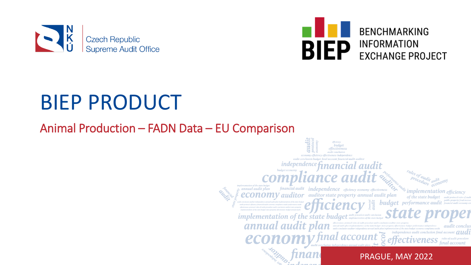



## BIEP PRODUCT

### Animal Production – FADN Data – EU Comparison

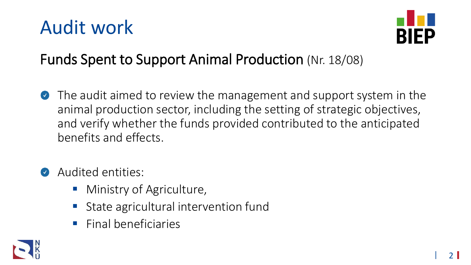### Audit work



### Funds Spent to Support Animal Production (Nr. 18/08)

- The audit aimed to review the management and support system in the animal production sector, including the setting of strategic objectives, and verify whether the funds provided contributed to the anticipated benefits and effects.
- Audited entities:
	- Ministry of Agriculture,
	- State agricultural intervention fund
	- Final beneficiaries

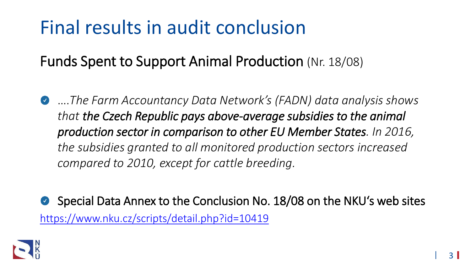### Final results in audit conclusion

Funds Spent to Support Animal Production (Nr. 18/08)

….*The Farm Accountancy Data Network's (FADN) data analysis shows*   $\bullet$ *that the Czech Republic pays above-average subsidies to the animal production sector in comparison to other EU Member States. In 2016, the subsidies granted to all monitored production sectors increased compared to 2010, except for cattle breeding.* 

Special Data Annex to the Conclusion No. 18/08 on the NKU's web sites  $\bullet$ <https://www.nku.cz/scripts/detail.php?id=10419>

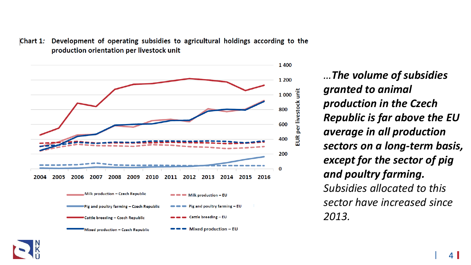



*…The volume of subsidies granted to animal production in the Czech Republic is far above the EU average in all production sectors on a long-term basis, except for the sector of pig and poultry farming. Subsidies allocated to this sector have increased since 2013.* 

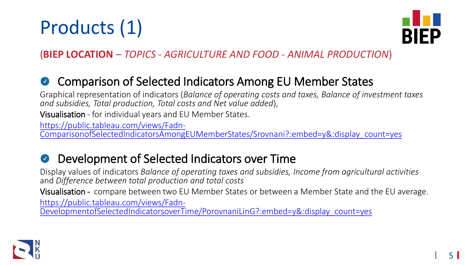## Products (1)



(**BIEP LOCATION** – *TOPICS - AGRICULTURE AND FOOD - ANIMAL PRODUCTION*)

#### Comparison of Selected Indicators Among EU Member States  $\bullet$

Graphical representation of indicators (*Balance of operating costs and taxes, Balance of investment taxes and subsidies, Total production, Total costs and Net value added*),

Visualisation - for individual years and EU Member States.

https://public.tableau.com/views/Fadn-

[ComparisonofSelectedIndicatorsAmongEUMemberStates/Srovnani?:embed=y&:display\\_count=yes](https://public.tableau.com/views/Fadn-ComparisonofSelectedIndicatorsAmongEUMemberStates/Srovnani?:embed=y&:display_count=yes)

#### Development of Selected Indicators over Time  $\bullet$

Display values of indicators *Balance of operating taxes and subsidies, Income from agricultural activities* and *Difference between total production and total costs*

Visualisation - compare between two EU Member States or between a Member State and the EU average. https://public.tableau.com/views/Fadn-

[DevelopmentofSelectedIndicatorsoverTime/PorovnaniLinG?:embed=y&:display\\_count=yes](https://public.tableau.com/views/Fadn-DevelopmentofSelectedIndicatorsoverTime/PorovnaniLinG?:embed=y&:display_count=yes)

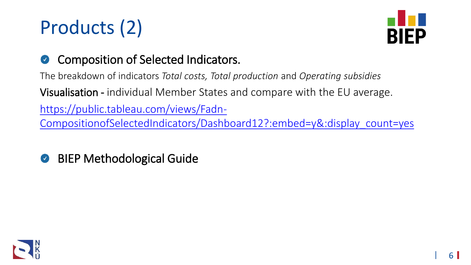## Products (2)



#### Composition of Selected Indicators.  $\bullet$

The breakdown of indicators *Total costs, Total production* and *Operating subsidies*

Visualisation - individual Member States and compare with the EU average.

https://public.tableau.com/views/Fadn-

[CompositionofSelectedIndicators/Dashboard12?:embed=y&:display\\_count=yes](https://public.tableau.com/views/Fadn-CompositionofSelectedIndicators/Dashboard12?:embed=y&:display_count=yes)

BIEP Methodological Guide $\bullet$ 

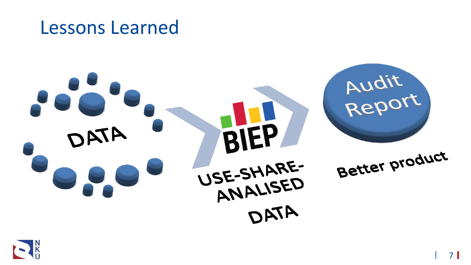

Lessons Learned

# Audit BIEP DATA Better product USE-SHARE-ANALISED DATA